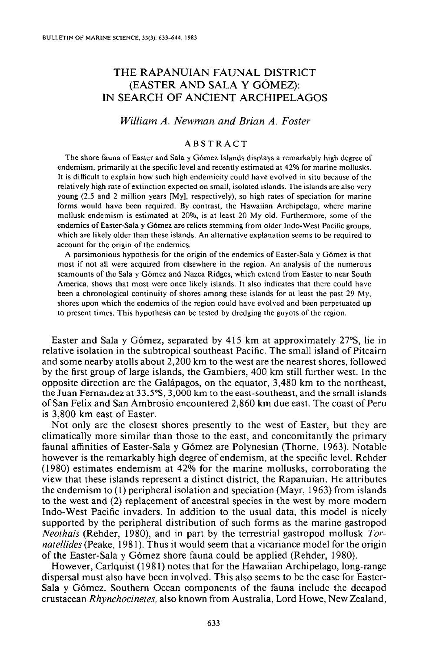# THE RAPANUIAN FAUNAL DISTRICT (EASTER AND SALA Y GOMEZ): IN SEARCH OF ANCIENT ARCHIPELAGOS

## *William A. Newman and Brian A. Foster*

## ABSTRACT

The shore fauna of Easter and Sala y Gómez Islands displays a remarkably high degree of endemism, primarily at the specific level and recently estimated at 42% for marine mollusks. It is difficult to explain how such high endemicity could have evolved in situ because of thc relatively high rate of extinction expected on small, isolated islands. The islands are also very young (2.5 and 2 million years [My], respectively), so high rates of speciation for marine forms would have been required. By contrast, the Hawaiian Archipelago, where marine mollusk endemism is estimated at 20%, is at least 20 Myoid. Furthermore, some of the endemics of Easter-\$ala y Gomez are relicts stemming from older Indo- West Pacific groups, which are likely older than these islands, An alternative explanation seems to be required to account for the origin of the endemics,

A parsimonious hypothesis for the origin of the endemics of Easter-Sala y Gomez is that most if not all were acquired from elsewhere in the region. An analysis of the numerous seamounts of the Sala y Gomez and Nazca Ridges, which extend from Easter to near South America, shows that most were once likely islands. It also indicates that there could have been a chronological continuity of shores among these islands for at least the past 29 My, shores upon which the endemics of the region could have evolved and been perpetuated up to present times. This hypothesis can be tested by dredging the guyots of the region,

Easter and Sala y Gomez, separated by 415 km at approximately 27°S, lie in relative isolation in the subtropical southeast Pacific. The small island of Pitcairn and some nearby atolls about 2,200 km to the west are the nearest shores, followed by the first group of large islands, the Gambiers, 400 km still further west. In the opposite direction are the Galapagos, on the equator, 3,480 km to the northeast, the Juan Fernal,dez at 33.5°S, 3,000 km to the east-southeast, and the small islands of San Felix and San Ambrosio encountered 2,860 km due east. The coast of Peru is 3,800 km east of Easter.

Not only are the closest shores presently to the west of Easter, but they are climatically more similar than those to the east, and concomitantly the primary faunal affinities of Easter-Sala y Gómez are Polynesian (Thorne, 1963). Notable however is the remarkably high degree of endemism, at the specific level. Rehder (1980) estimates endemism at 42% for the marine mollusks, corroborating the view that these islands represent a distinct district, the Rapanuian. He attributes the endemism to (1) peripheral isolation and speciation (Mayr, 1963) from islands to the west and (2) replacement of ancestral species in the west by more modern Indo-West Pacific invaders. In addition to the usual data, this model is nicely supported by the peripheral distribution of such forms as the marine gastropod *Neothais* (Rehder, 1980), and in part by the terrestrial gastropod mollusk *Tornatellides* (Peake, 1981). Thus it would seem that a vicariance model for the origin of the Easter-Sala y Gomez shore fauna could be applied (Rehder, 1980).

However, Carlquist (1981) notes that for the Hawaiian Archipelago, long-range dispersal must also have been involved. This also seems to be the case for Easter-Sala y Gómez. Southern Ocean components of the fauna include the decapod crustacean *Rhynchocinetes,* also known from Australia, Lord Howe, New Zealand,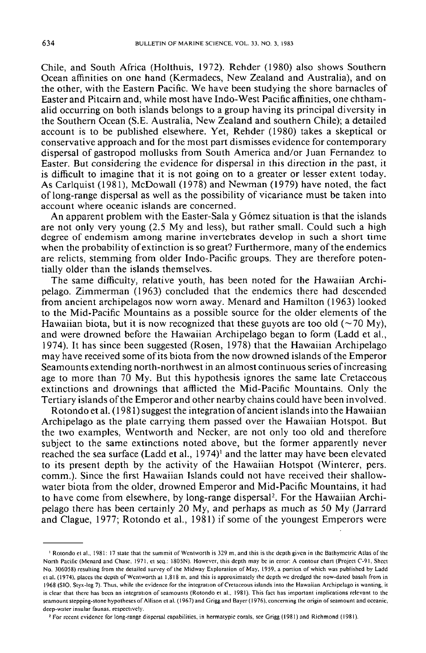Chile, and South Africa (Holthuis, 1972). Rehder (1980) also shows Southern Ocean affinities on one hand (Kermadecs, New Zealand and Australia), and on the other, with the Eastern Pacific. We have been studying the shore barnacles of Easter and Pitcairn and, while most have Indo-West Pacific affinities, one chthamalid occurring on both islands belongs to a group having its principal diversity in the Southern Ocean (S.E. Australia, New Zealand and southern Chile); a detailed account is to be published elsewhere. Yet, Rehder (1980) takes a skeptical or conservative approach and for the most part dismisses evidence for contemporary dispersal of gastropod mollusks from South America and/or Juan Fernandez to Easter. But considering the evidence for dispersal in this direction in the past, it is difficult to imagine that it is not going on to a greater or lesser extent today. As Carlquist (1981), McDowall (1978) and Newman (1979) have noted, the fact of long-range dispersal as well as the possibility of vicariance must be taken into account where oceanic islands are concerned.

An apparent problem with the Easter-Sala y Gómez situation is that the islands are not only very young (2.5 My and less), but rather small. Could such a high degree of endemism among marine invertebrates develop in such a short time when the probability of extinction is so great? Furthermore, many of the endemics are relicts, stemming from older Indo-Pacific groups. They are therefore potentially older than the islands themselves.

The same difficulty, relative youth, has been noted for the Hawaiian Archipelago. Zimmerman (1963) concluded that the endemics there had descended from ancient archipelagos now worn away. Menard and Hamilton (1963) looked to the Mid-Pacific Mountains as a possible source for the older elements of the Hawaiian biota, but it is now recognized that these guyots are too old ( $\sim$ 70 My), and were drowned before the Hawaiian Archipelago began to form (Ladd et aI., 1974). It has since been suggested (Rosen, 1978) that the Hawaiian Archipelago may have received some of its biota from the now drowned islands of the Emperor Seamounts extending north-northwest in an almost continuous series of increasing age to more than 70 My. But this hypothesis ignores the same late Cretaceous extinctions and drownings that afflicted the Mid-Pacific Mountains. Only the Tertiary islands of the Emperor and other nearby chains could have been involved,

Rotondo et al. (1981) suggest the integration of ancient islands into the Hawaiian Archipelago as the plate carrying them passed over the Hawaiian Hotspot. But the two examples, Wentworth and Necker, are not only too old and therefore subject to the same extinctions noted above, but the former apparently never reached the sea surface (Ladd et al.,  $1974$ )<sup>1</sup> and the latter may have been elevated to its present depth by the activity of the Hawaiian Hotspot (Winterer, pers. comm.). Since the first Hawaiian Islands could not have received their shallowwater biota from the older, drowned Emperor and Mid-Pacific Mountains, it had to have come from elsewhere, by long-range dispersal<sup>2</sup>. For the Hawaiian Archipelago there has been certainly 20 My, and perhaps as much as 50 My (Jarrard and Clague, 1977; Rotondo et aI., 1981) if some of the youngest Emperors were

, For rccent evidcnee for long-range dispersal capabilities, in hermatypic corals, see Grigg (1981) and Richmond (1981).

<sup>1</sup> Rotondo et al.. 1981: 17 state that the summit of Wentworth is 329 m, and this is the dcpth givcn in thc BathymcIric Atlas of the North Pacific (Menard and Chase, 1971, et seq.: 1805N). However, this depth may be in error: A contour chart (Project C-91, Sheet No. 306058) resulting from the detailed survey of the Midway Exploration of May. 1959, a portion of which was published by Ladd et al. (1974), places the depth of Wentworth at 1,818 m. and this is approximately the dcpth we dredged the now-dated basalt from in 1968 (SIO, Styx-leg 7). Thus, while the evidence for the integration of Cretaceous islands into the Hawaiian Archipelago is wanting, it is clear that there has been an integration of seamounts (Rotondo et al., 1981). This fact has important implications relevant to the seamount stepping-stone hypotheses of Allison et al. (1967) and Grigg and Bayer (1976), concerning the origin of seamount and oceanic, deep-water insular faunas. respectively.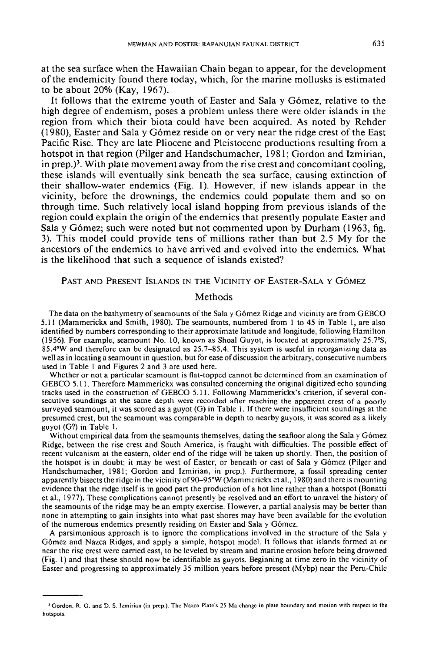at the sea surface when the Hawaiian Chain began to appear, for the development of the endemicity found there today, which, for the marine mollusks is estimated to be about 20% (Kay, 1967).

It follows that the extreme youth of Easter and Sala y Gómez, relative to the high degree of endemism, poses a problem unless there were older islands in the region from which their biota could have been acquired. As noted by Rehder (1980), Easter and Sala y Gomez reside on or very near the ridge crest of the East Pacific Rise. They are late Pliocene and Pleistocene productions resulting from a hotspot in that region (Pilger and Handschumacher, 1981; Gordon and Izmirian, in prep.)<sup>3</sup>. With plate movement away from the rise crest and concomitant cooling, these islands will eventually sink beneath the sea surface, causing extinction of their shallow-water endemics (Fig. I). However, if new islands appear in the vicinity, before the drownings, the endemics could populate them and so on through time. Such relatively local island hopping from previous islands of the region could explain the origin of the endemics that presently populate Easter and Sala y Gómez; such were noted but not commented upon by Durham (1963, fig. 3). This model could provide tens of millions rather than but 2.5 My for the ancestors of the endemics to have arrived and evolved into the endemics. What is the likelihood that such a sequence of islands existed?

PAST AND PRESENT ISLANDS IN THE VICINITY OF EASTER-SALA Y GÓMEZ

#### Methods

The data on the bathymetry of seamounts of the Sala y Gómez Ridge and vicinity are from GEBCO 5.11 (Mammerickx and Smith, 1980). The seamounts, numbered from I to 45 in Table I, are also identified by numbers corresponding to their approximate latitude and longitude, following Hamilton (1956). For example, seamount No. 10, known as Shoal Guyot, is located at approximately 25.7°S, 85.4°W and therefore can be designated as 25.7-85.4. This system is useful in reorganizing data as well as in locating a seamount in question, but for ease of discussion the arbitrary, consecutive numbers used in Table I and Figures 2 and 3 are used here.

Whether or not a particular seamount is flat-topped cannot be determined from an examination of GEBCO 5.11. Therefore Mammerickx was consulted concerning the original digitized echo sounding tracks used in the construction of GEBCO 5.11. Following Mammerickx's criterion, if several consecutive soundings at the same depth were recorded after reaching the apparent crest of a poorly surveyed seamount, it was scored as a guyot (G) in Table 1. If there were insufficient soundings at the presumed crest, but the seamount was comparable in depth to nearby guyots, it was scored as a likely guyot (G?) in Table I.

Without empirical data from the seamounts themselves, dating the seafloor along the Sala y Gómez Ridge, between the rise crest and South America, is fraught with difficulties. The possible effect of recent vulcanism at the eastern, older end of the ridge will be taken up shortly. Then, the position of the hotspot is in doubt; it may be west of Easter, or beneath or east of Sala y Gomez (Pilger and Handschumacher, 1981; Gordon and Izmirian, in prep.). Furthermore, a fossil spreading center apparently bisects the ridge in the vicinity of90-95°W (Mammerickx et aI., 1980) and there is mounting evidence that the ridge itself is in good part the production of a hot line rather than a hotspot (Bonatti et aI., 1977). These complications cannot presently be resolved and an effort to unravel the history of the seamounts of the ridge may be an empty exercise. However, a partial analysis may be better than none in attempting to gain insights into what past shores may have been available for the evolution of the numerous endemics presently residing on Easter and Sala y Gomez.

A parsimonious approach is to ignore the complications involved in the structure of the Sala y Gomez and Nazca Ridges, and apply a simple, hotspot model. It follows that islands formed at or near the rise crest were carried east, to be leveled by stream and marine erosion before being drowned (Fig. I) and that these should now be identifiable as guyots. Beginning at time zero in the vicinity of Easter and progressing to approximately 35 million years before present (Mybp) near the Peru-Chile

<sup>&#</sup>x27;Gordon. R. G. and D. S. Izmirian (in prep.). The Nazca Plate's 25 Ma change in plate boundary and motion with respect to the **hotspots.**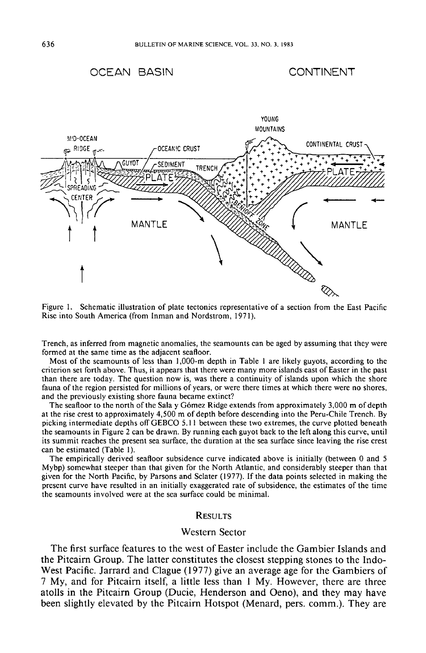# OCEAN BASIN





Rise into South America (from Inman and Nordstrom, 1971).

Trench, as inferred from magnetic anomalies, the seamounts can be aged by assuming that they were formed at the same time as the adjacent seafloor.

Most of the seamounts of less than I,OOO-m depth in Table I are likely guyots, according to the criterion set forth above. Thus, it appears that there were many more islands east of Easter in the past than there are today. The question now is, was there a continuity of islands upon which the shore fauna of the region persisted for millions of years, or were there times at which there were no shores, and the previously existing shore fauna became extinct?

The seafloor to the north of the Sala y Gómez Ridge extends from approximately 3,000 m of depth at the rise crest to approximately 4,500 m of depth before descending into the Peru-Chile Trench. By picking intermediate depths off GEBCO 5.11 between these two extremes, the curve plotted beneath the seamounts in Figure 2 can be drawn. By running each guyot back to the left along this curve, until its summit reaches the present sea surface, the duration at the sea surface since leaving the rise crest can be estimated (Table I).

The empirically derived seafloor subsidence curve indicated above is initially (between 0 and 5 Mybp) somewhat steeper than that given for the North Atlantic, and considerably steeper than that given for the North Pacific, by Parsons and Sclater (1977). If the data points selected in making the present curve have resulted in an initially exaggerated rate of subsidence, the estimates of the time the seamounts involved were at the sea surface could be minimal.

#### **RESULTS**

### Western Sector

The first surface features to the west of Easter include the Gambier Islands and the Pitcairn Group. The latter constitutes the closest stepping stones to the Indo-West Pacific. Jarrard and Clague (1977) give an average age for the Gambiers of 7 My, and for Pitcairn itself, a little less than 1 My. However, there are three atolls in the Pitcairn Group (Ducie, Henderson and Geno), and they may have been slightly elevated by the Pitcairn Hotspot (Menard, pers. comm.). They are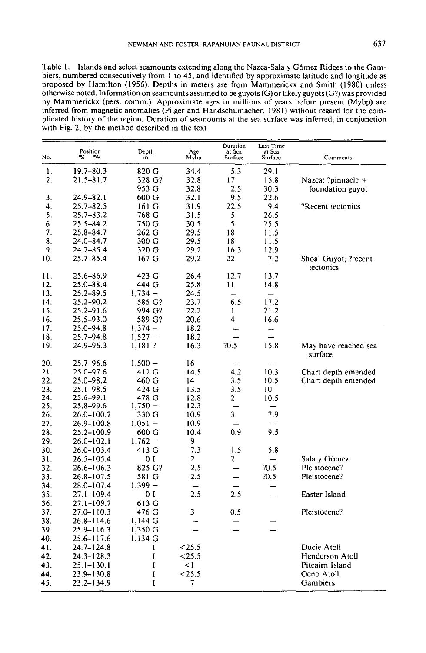Table 1. Islands and select seamounts extending along the Nazca-Sala y Gómez Ridges to the Gambiers, numbered consecutively from I to 45, and identified by approximate latitude and longitude as proposed by Hamilton (1956). Depths in meters are from Mammerickx and Smith (1980) unless otherwise noted. Information on seamounts assumed to be guyots (G) or likely guyots *(G?)* was provided by Mammerickx (pers. comm.). Approximate ages in millions of years before present (Mybp) are inferred from magnetic anomalies (Pilger and Handschumacher, 1981) without regard for the complicated history of the region. Duration of seamounts at the sea surface was inferred, in conjunction with Fig. 2, by the method described in the text

|                  | Position       |             |             | Duration<br>at Sea       | Last Time<br>at Sea      |                                   |
|------------------|----------------|-------------|-------------|--------------------------|--------------------------|-----------------------------------|
| No.              | ۰w<br>۰s       | Depth<br>m  | Age<br>Mybp | Surface                  | Surface                  | Comments                          |
| 1.               | 19.7-80.3      | 820 G       | 34.4        | 5.3                      | 29.1                     |                                   |
| $\overline{2}$ . | $21.5 - 81.7$  | 328 G?      | 32.8        | 17                       | 15.8                     | Nazca: ?pinnacle +                |
|                  |                | 953 G       | 32.8        | 2.5                      | 30.3                     | foundation guyot                  |
| 3.               | $24.9 - 82.1$  | 600 G       | 32.1        | 9.5                      | 22.6                     |                                   |
| 4.               | 25.7–82.5      | 161 G       | 31.9        | 22.5                     | 9.4                      | ?Recent tectonics                 |
| 5.               | $25.7 - 83.2$  | 768 G       | 31.5        | 5                        | 26.5                     |                                   |
| 6.               | 25.5–84.2      | 750 G       | 30.5        | 5                        | 25.5                     |                                   |
| 7.               | $25.8 - 84.7$  | 262 G       | 29.5        | 18                       | 11.5                     |                                   |
| 8.               | $24.0 - 84.7$  | 300 G       | 29.5        | 18                       | 11.5                     |                                   |
| 9.               | 24.7–85.4      | 320 G       | 29.2        | 16.3                     | 12.9                     |                                   |
| 10.              | 25.7-85.4      | 167 G       | 29.2        | 22                       | 7.2                      | Shoal Guyot; ?recent<br>tectonics |
| 11.              | 25.6-86.9      | 423 G       | 26.4        | 12.7                     | 13.7                     |                                   |
| 12.              | 25.0-88.4      | 444 G       | 25.8        | 11                       | 14.8                     |                                   |
| 13.              | 25.2-89.5      | $1,734-$    | 24.5        |                          | $\overline{\phantom{0}}$ |                                   |
| 14.              | $25.2 - 90.2$  | 585 G?      | 23.7        | 6.5                      | 17.2                     |                                   |
| 15.              | 25.2-91.6      | 994 G?      | 22.2        | $\mathbf{1}$             | 21.2                     |                                   |
| 16.              | 25.5-93.0      | 589 G?      | 20.6        | 4                        | 16.6                     |                                   |
| 17.              | $25.0 - 94.8$  | $1,374 -$   | 18.2        |                          | $\overline{\phantom{0}}$ |                                   |
| 18.              | 25.7–94.8      | $1,527 -$   | 18.2        |                          | —                        |                                   |
| 19.              | 24.9-96.3      | 1,181?      | 16.3        | 70.5                     | 15.8                     | May have reached sea<br>surface   |
| 20.              | $25.7 - 96.6$  | $1,500 -$   | 16          |                          |                          |                                   |
| 21.              | 25.0-97.6      | 412 G       | 14.5        | 4.2                      | 10.3                     | Chart depth emended               |
| 22.              | 25.0-98.2      | 460 G       | 14          | 3.5                      | 10.5                     | Chart depth emended               |
| 23.              | $25.1 - 98.5$  | 424 G       | 13.5        | 3.5                      | 10                       |                                   |
| 24.              | $25.6 - 99.1$  | 478 G       | 12.8        | $\overline{a}$           | 10.5                     |                                   |
| 25.              | 25.8–99.6      | $1,750 -$   | 12.3        |                          |                          |                                   |
| 26.              | 26.0-100.7     | 330 G       | 10.9        | 3                        | 7.9                      |                                   |
| 27.              | 26.9-100.8     | $1,051 -$   | 10.9        |                          |                          |                                   |
| 28.              | 25.2–100.9     | 600 G       | 10.4        | 0.9                      | 9.5                      |                                   |
| 29.              | 26.0–102.1     | $1,762 -$   | 9           |                          |                          |                                   |
| 30.              | 26.0-103.4     | 413 G       | 7.3         | 1.5                      | 5.8                      |                                   |
| 31.              | 26.5–105.4     | 01          | 2           | $\overline{2}$           |                          | Sala y Gómez                      |
| 32.              | 26.6–106.3     | 825 G?      | 2.5         | $\overline{\phantom{0}}$ | 20.5                     | Pleistocene?                      |
| 33.              | 26.8-107.5     | 581 G       | 2.5         |                          | 20.5                     | Pleistocene?                      |
| 34.              | 28.0–107.4     | $1,399 -$   |             |                          |                          |                                   |
| 35.              | 27.1-109.4     | 0 I         | 2.5         | 2.5                      |                          | Easter Island                     |
| 36.              | 27.1-109.7     | 613 G       |             |                          |                          |                                   |
| 37.              | 27.0-110.3     | 476 G       | 3           | 0.5                      |                          | Pleistocene?                      |
| 38.              | $26.8 - 114.6$ | $1,144$ G   |             |                          |                          |                                   |
| 39.              | 25.9–116.3     | 1,350 G     |             |                          |                          |                                   |
| 40.              | 25.6–117.6     | 1,134 G     |             |                          |                          |                                   |
| 41.              | 24.7–124.8     | 1           | < 25.5      |                          |                          | Ducie Atoll                       |
| 42.              | $24.3 - 128.3$ | I           | < 25.5      |                          |                          | Henderson Atoll                   |
| 43.              | $25.1 - 130.1$ | $\mathbf I$ | $\leq$ 1    |                          |                          | Pitcairn Island                   |
| 44.              | 23.9–130.8     | I           | $<$ 25.5    |                          |                          | Oeno Atoll                        |
| 45.              | 23.2–134.9     | I           | 7           |                          |                          | Gambiers                          |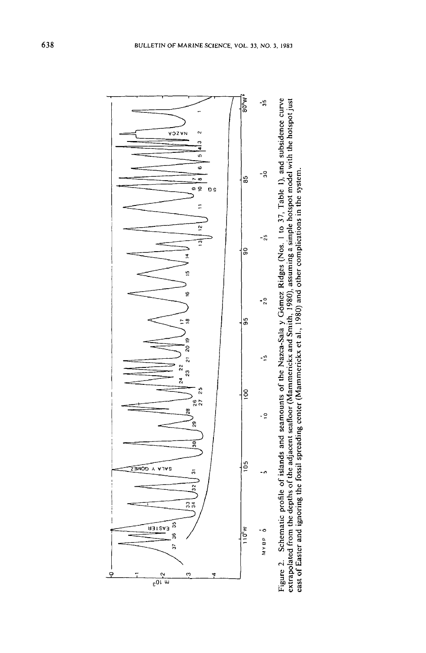

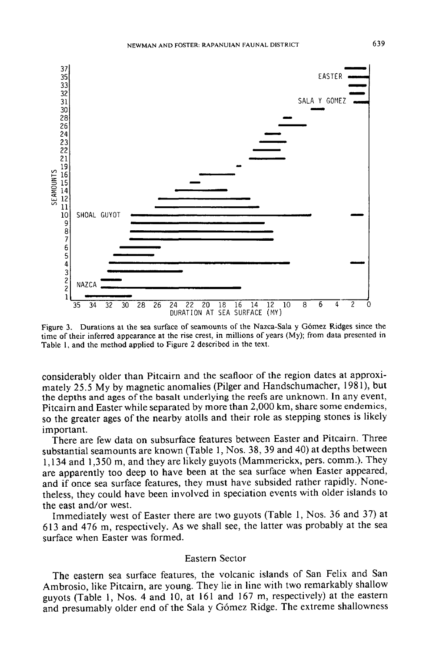

Figure 3. Durations at the sea surface of seamounts of the Nazca-Sala y Gomez Ridges since the time of their inferred appearance at the rise crest, in millions of years (My); from data presented in Table I, and the method applied to Figure 2 described in the text.

considerably older than Pitcairn and the seafloor of the region dates at approximately 25.5 My by magnetic anomalies (Pilger and Handschumacher, 1981), but the depths and ages of the basalt underlying the reefs are unknown. In any event, Pitcairn and Easter while separated by more than 2,000 km, share some endemics, so the greater ages of the nearby atolls and their role as stepping stones is likely important.

There are few data on subsurface features between Easter and Pitcairn. Three substantial seamounts are known (Table 1, Nos. 38, 39 and 40) at depths between 1,134 and 1,350 m, and they are likely guyots (Mammerickx, pers. comm.). They are apparently too deep to have been at the sea surface when Easter appeared, and if once sea surface features, they must have subsided rather rapidly. Nonetheless, they could have been involved in speciation events with older islands to the east and/or west.

Immediately west of Easter there are two guyots (Table 1, Nos. 36 and 37) at 613 and 476 m, respectively. As we shall see, the latter was probably at the sea surface when Easter was formed.

### Eastern Sector

The eastern sea surface features, the volcanic islands of San Felix and San Ambrosio, like Pitcairn, are young. They lie in line with two remarkably shallow guyots (Table 1, Nos. 4 and 10, at 161 and 167 m, respectively) at the eastern and presumably older end of the Sala y Gómez Ridge. The extreme shallowness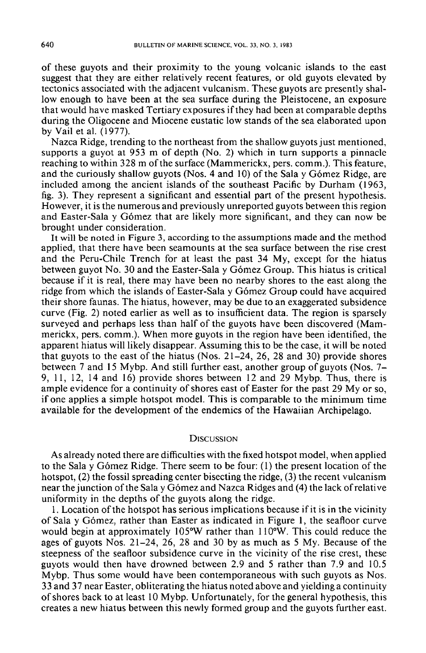of these guyots and their proximity to the young volcanic islands to the east suggest that they are either relatively recent features, or old guyots elevated by tectonics associated with the adjacent vulcanism. These guyots are presently shallow enough to have been at the sea surface during the Pleistocene, an exposure that would have masked Tertiary exposures if they had been at comparable depths during the Oligocene and Miocene eustatic low stands of the sea elaborated upon by Vail et al. (1977).

Nazca Ridge, trending to the northeast from the shallow guyots just mentioned, supports a guyot at  $95\overline{3}$  m of depth (No. 2) which in turn supports a pinnacle reaching to within 328 m of the surface (Mammerickx, pers. comm.). This feature, and the curiously shallow guyots (Nos. 4 and 10) of the Sala y Gómez Ridge, are included among the ancient islands of the southeast Pacific by Durham (1963, fig. 3). They represent a significant and essential part of the present hypothesis. However, it is the numerous and previously unreported guyots between this region and Easter-Sala y Gomez that are likely more significant, and they can now be brought under consideration.

It will be noted in Figure 3, according to the assumptions made and the method applied, that there have been seamounts at the sea surface between the rise crest and the Peru-Chile Trench for at least the past 34 My, except for the hiatus between guyot No. 30 and the Easter-Sala y Gómez Group. This hiatus is critical because if it is real, there may have been no nearby shores to the east along the ridge from which the islands of Easter-Sala y Gómez Group could have acquired their shore faunas. The hiatus, however, may be due to an exaggerated subsidence curve (Fig. 2) noted earlier as well as to insufficient data. The region is sparsely surveyed and perhaps less than half of the guyots have been discovered (Mammerickx, pers. comm.). When more guyots in the region have been identified, the apparent hiatus will likely disappear. Assuming this to be the case, it will be noted that guyots to the east of the hiatus (Nos. 21-24, 26, 28 and 30) provide shores between 7 and 15 Mybp. And still further east, another group of guyots (Nos. 7- 9, 11, 12, 14 and 16) provide shores between 12 and 29 Mybp. Thus, there is ample evidence for a continuity of shores east of Easter for the past 29 My or so, if one applies a simple hotspot model. This is comparable to the minimum time available for the development of the endemics of the Hawaiian Archipelago.

#### **DISCUSSION**

As already noted there are difficulties with the fixed hotspot model, when applied to the Sala y Gómez Ridge. There seem to be four:  $(1)$  the present location of the hotspot, (2) the fossil spreading center bisecting the ridge, (3) the recent vulcanism near the junction of the Sala y G6mez and Nazca Ridges and (4) the lack of relative uniformity in the depths of the guyots along the ridge.

1. Location of the hotspot has serious implications because if it is in the vicinity of Sala y G6mez, rather than Easter as indicated in Figure 1, the seafloor curve would begin at approximately  $105\text{°W}$  rather than  $110\text{°W}$ . This could reduce the ages of guyots Nos. 21-24, 26, 28 and 30 by as much as 5 My. Because of the steepness of the seafloor subsidence curve in the vicinity of the rise crest, these guyots would then have drowned between 2.9 and 5 rather than 7.9 and 10.5 Mybp. Thus some would have been contemporaneous with such guyots as Nos. 33 and 37 near Easter, obliterating the hiatus noted above and yielding a continuity of shores back to at least 10 Mybp. Unfortunately, for the general hypothesis, this creates a new hiatus between this newly formed group and the guyots further east.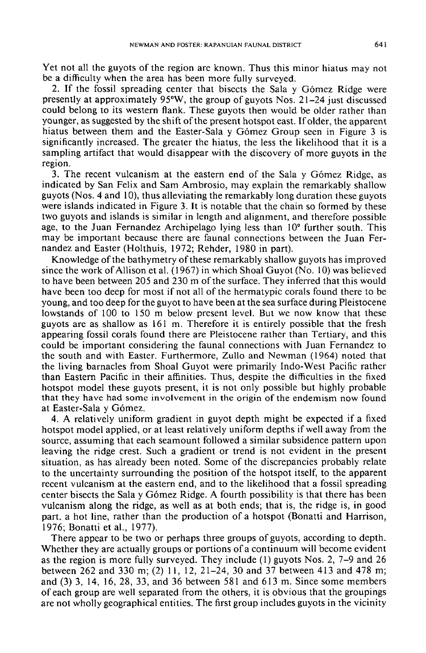Yet not all the guyots of the region are known. Thus this minor hiatus may not be a difficulty when the area has been more fully surveyed.

2. If the fossil spreading center that bisects the Sala y Gomez Ridge were presently at approximately 95°W, the group of guyots Nos. 21-24 just discussed could belong to its western flank. These guyots then would be older rather than younger, as suggested by the shift of the present hotspot east. If older, the apparent hiatus between them and the Easter-Sala y Gómez Group seen in Figure 3 is significantly increased. The greater the hiatus, the less the likelihood that it is a sampling artifact that would disappear with the discovery of more guyots in the region.

3. The recent vulcanism at the eastern end of the Sala y Gomez Ridge, as indicated by San Felix and Sam Ambrosio, may explain the remarkably shallow guyots (Nos. 4 and 10), thus alleviating the remarkably long duration these guyots were islands indicated in Figure 3. It is notable that the chain so formed by these two guyots and islands is similar in length and alignment, and therefore possible age, to the Juan Fernandez Archipelago lying less than 10° further south. This may be important because there are faunal connections between the Juan Fernandez and Easter (Holthuis, 1972; Rehder, 1980 in part).

Knowledge of the bathymetry of these remarkably shallow guyots has improved since the work of Allison et al. (1967) in which Shoal Guyot (No. 10) was believed to have been between 205 and 230 m of the surface. They inferred that this would have been too deep for most if not all of the hermatypic corals found there to be young, and too deep for the guyot to have been at the sea surface during Pleistocene lowstands of 100 to 150 m below present level. But we now know that these guyots are as shallow as 161 m. Therefore it is entirely possible that the fresh appearing fossil corals found there are Pleistocene rather than Tertiary, and this could be important considering the faunal connections with Juan Fernandez to the south and with Easter. Furthermore, Zullo and Newman (1964) noted that the living barnacles from Shoal Guyot were primarily Indo-West Pacific rather than Eastern Pacific in their affinities. Thus, despite the difficulties in the fixed hotspot model these guyots present, it is not only possible but highly probable that they have had some involvement in the origin of the endemism now found at Easter-Sala y Gomez.

4. A relatively uniform gradient in guyot depth might be expected if a fixed hotspot model applied, or at least relatively uniform depths if well away from the source, assuming that each seamount followed a similar subsidence pattern upon leaving the ridge crest. Such a gradient or trend is not evident in the present situation, as has already been noted. Some of the discrepancies probably relate to the uncertainty surrounding the position of the hotspot itself, to the apparent recent vulcanism at the eastern end, and to the likelihood that a fossil spreading center bisects the Sala y Gomez Ridge. A fourth possibility is that there has been vulcanism along the ridge, as well as at both ends; that is, the ridge is, in good part. a hot line, rather than the production of a hotspot (Bonatti and Harrison, 1976; Bonatti et aI., 1977).

There appear to be two or perhaps three groups of guyots, according to depth. Whether they are actually groups or portions of a continuum will become evident as the region is more fully surveyed. They include (I) guyots Nos. 2, 7-9 and 26 between 262 and 330 m; (2) II, 12,21-24,30 and 37 between 413 and 478 m; and (3) 3, 14, 16, 28, 33, and 36 between 581 and 613 m. Since some members of each group are well separated from the others, it is obvious that the groupings are not wholly geographical entities. The first group includes guyots in the vicinity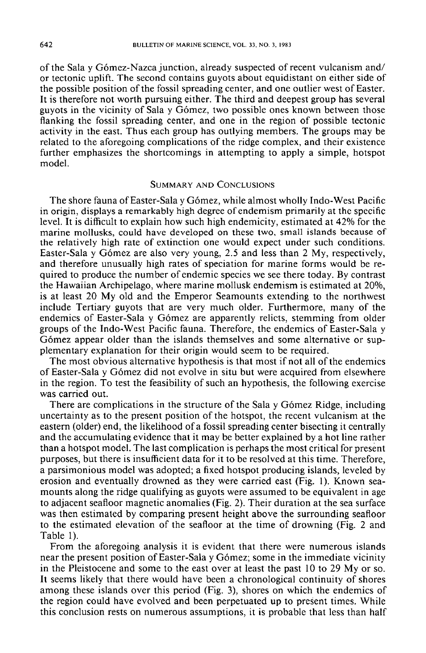of the Sala y Gómez-Nazca junction, already suspected of recent vulcanism and/ or tectonic uplift. The second contains guyots about equidistant on either side of the possible position of the fossil spreading center, and one outlier west of Easter. lt is therefore not worth pursuing either. The third and deepest group has several guyots in the vicinity of Sala y Gomez, two possible ones known between those flanking the fossil spreading center, and one in the region of possible tectonic activity in the east. Thus each group has outlying members. The groups may be related to the aforegoing complications of the ridge complex, and their existence further emphasizes the shortcomings in attempting to apply a simple, hotspot model.

### SUMMARY AND CONCLUSIONS

The shore fauna of Easter-Sala y Gómez, while almost wholly Indo-West Pacific in origin, displays a remarkably high degree of endemism primarily at the specific level. It is difficult to explain how such high endemicity, estimated at 42% for the marine mollusks, could have developed on these two, small islands because of the relatively high rate of extinction one would expect under such conditions. Easter-Sala y Gomez are also very young, 2.5 and less than 2 My, respectively, and therefore unusually high rates of speciation for marine forms would be required to produce the number of endemic species we see there today. By contrast the Hawaiian Archipelago, where marine mollusk endemism is estimated at 20%, is at least 20 My old and the Emperor Seamounts extending to the northwest include Tertiary guyots that are very much older. Furthermore, many of the endemics of Easter-Sala y Gomez are apparently relicts, stemming from older groups of the Indo-West Pacific fauna. Therefore, the endemics of Easter-Sala y Gómez appear older than the islands themselves and some alternative or supplementary explanation for their origin would seem to be required.

The most obvious alternative hypothesis is that most if not all of the endemics of Easter-Sala y Gomez did not evolve in situ but were acquired from elsewhere in the region. To test the feasibility of such an hypothesis, the following exercise was carried out.

There are complications in the structure of the Sala y Gómez Ridge, including uncertainty as to the present position of the hotspot, the recent vulcanism at the eastern (older) end, the likelihood of a fossil spreading center bisecting it centrally and the accumulating evidence that it may be better explained by a hot line rather than a hotspot model. The last complication is perhaps the most critical for present purposes, but there is insufficient data for it to be resolved at this time. Therefore, a parsimonious model was adopted; a fixed hotspot producing islands, leveled by erosion and eventually drowned as they were carried east (Fig. I). Known seamounts along the ridge qualifying as guyots were assumed to be equivalent in age to adjacent seafloor magnetic anomalies (Fig. 2). Their duration at the sea surface was then estimated by comparing present height above the surrounding seafloor to the estimated elevation of the seafloor at the time of drowning (Fig. 2 and Table I).

From the aforegoing analysis it is evident that there were numerous islands near the present position of Easter-Sala y Gómez; some in the immediate vicinity in the Pleistocene and some to the east over at least the past 10 to 29 My or so. lt seems likely that there would have been a chronological continuity of shores among these islands over this period (Fig. 3), shores on which the endemics of the region could have evolved and been perpetuated up to present times. While this conclusion rests on numerous assumptions, it is probable that less than half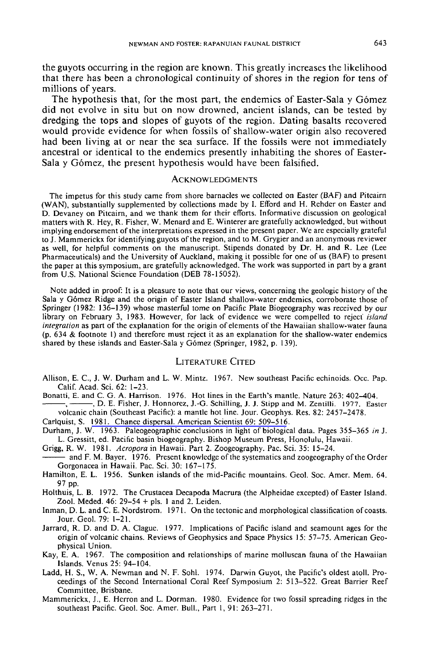the guyots occurring in the region are known. This greatly increases the likelihood that there has been a chronological continuity of shores in the region for tens of millions of years.

The hypothesis that, for the most part, the endemics of Easter-Sala y Gómez did not evolve in situ but on now drowned, ancient islands, can be tested by dredging the tops and slopes of guyots of the region. Dating basalts recovered would provide evidence for when fossils of shallow-water origin also recovered had been living at or near the sea surface. If the fossils were not immediately ancestral or identical to the endemics presently inhabiting the shores of Easter-Sala y Gómez, the present hypothesis would have been falsified.

#### **ACKNOWLEDGMENTS**

The impetus for this study came from shore barnacles we collected on Easter (BAF) and Pitcairn (WAN), substantially supplemented by collections made by I. Efford and H. Rehder on Easter and D. Devaney on Pitcairn, and we thank them for their efforts. Informative discussion on geological matters with R. Hey, R. Fisher, W. Menard and E. Winterer are gratefully acknowledged, but without implying endorsement of the interpretations expressed in the present paper. We are especially grateful to J. Mammerickx for identifying guyots of the region, and to M. Grygier and an anonymous reviewer as well, for helpful comments on the manuscript. Stipends donated by Dr. H. and R. Lee (Lee Pharmaceuticals) and the University of Auckland, making it possible for one of us (BAF) to present the paper at this symposium, are gratefully acknowledged. The work was supported in part by a grant from U.S. National Science Foundation (DEB 78-15052).

Note added in proof: It is a pleasure to note that our views, concerning the geologic history of the Sala y Gómez Ridge and the origin of Easter Island shallow-water endemics, corroborate those of Springer (1982: 136-139) whose masterful tome on Pacific Plate Biogeography was received by our library on February 3, 1983. However, for lack of evidence we were compelled to reject' *island integration* as part of the explanation for the origin of elements of the Hawaiian shallow-water fauna (p. 634 & footnote I) and therefore must reject it as an explanation for the shallow-water endemics shared by these islands and Easter-Sala y Gómez (Springer, 1982, p. 139).

#### LITERATURE CITED

- Allison, E. C, J. W. Durham and L. W. Mintz. 1967. New southeast Pacific echinoids. Occ. Pap. Calif. Acad. Sci. 62: 1-23.
- Bonatti, E. and C. G. A. Harrison. 1976. Hot lines in the Earth's mantle. Nature 263: 402-404.

-, ——, D. E. Fisher, J. Honnorez, J.-G. Schilling, J. J. Stipp and M. Zentilli. 1977. Easter volcanic chain (Southeast Pacific): a mantle hot line. Jour. Geophys. Res. 82: 2457-2478.

Carlquist, S. 1981. Chance dispersal. [American](http://www.ingentaconnect.com/content/external-references?article=0003-0996(1981)69L.509[aid=8656538]) Scientist 69: 509-516.

- Durham, 1. W. 1963. Paleogeographic conclusions in light of biological data. Pages 355-365 *in* J. L. Gressitt, ed. Pacific basin biogeography. Bishop Museum Press, Honolulu, Hawaii.
- Grigg, R. W. 1981. *Acropora* in Hawaii. Part 2. Zoogeography. Pac. Sci. 35: 15-24.
- and F. M. Bayer. 1976. Present knowledge of the systematics and zoogeography of the Order Gorgonacea in Hawaii. Pac. Sci. 30: 167-175.
- Hamilton, E. L. 1956. Sunken islands of the mid-Pacific mountains. Geol. Soc. Amer. Mem. 64. 97 pp.

Holthuis, L. B. 1972. The Crustacea Decapoda Macrura (the Alpheidae excepted) of Easter Island. Zool. Meded. 46: 29-54 + pis. 1 and 2. Leiden.

- Inman, D. L. and C. E. Nordstrom. 1971. On the tectonic and morphological classification of coasts. Jour. Geol. 79: 1-21.
- Jarrard, R. D. and D. A. Clague. 1977. Implications of Pacific island and seamount ages for the origin of volcanic chains. Reviews of Geophysics and Space Physics 15: 57-75. American Geophysical Union.
- Kay, E. A. 1967. The composition and relationships of marine molluscan fauna of the Hawaiian Islands. Venus 25: 94-104.
- Ladd, H. S., W. A. Newman and N. F. Sohl. 1974. Darwin Guyot, the Pacific's oldest atoll. Proceedings of the Second International Coral Reef Symposium 2: 513-522. Great Barrier Reef Committee, Brisbane.
- Mammerickx, J., E. Herron and L. Dorman. 1980. Evidence for two fossil spreading ridges in the southeast Pacific. Geol. Soc. Amer. Bull., Part 1, 91: 263-271.